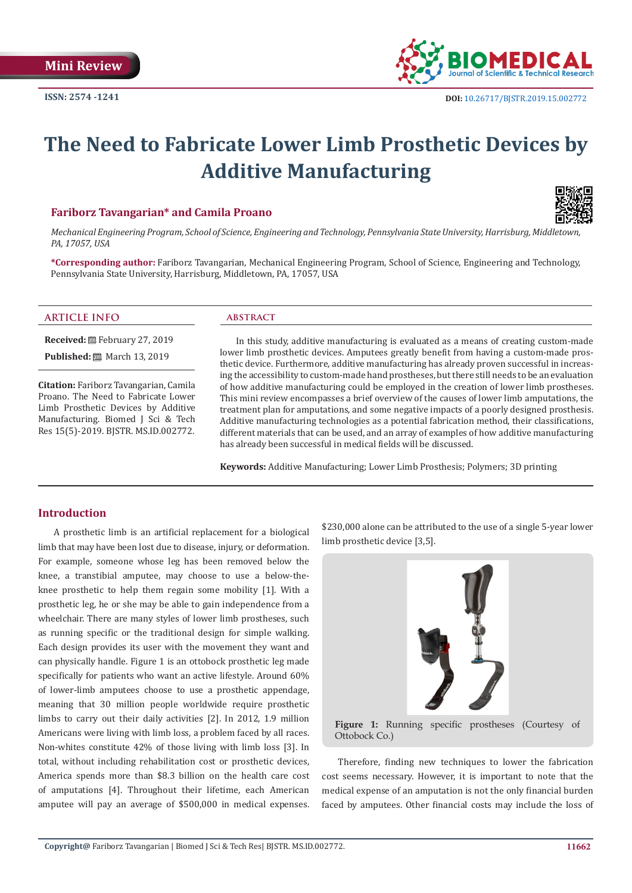

# **The Need to Fabricate Lower Limb Prosthetic Devices by Additive Manufacturing**

## **Fariborz Tavangarian\* and Camila Proano**



*Mechanical Engineering Program, School of Science, Engineering and Technology, Pennsylvania State University, Harrisburg, Middletown, PA, 17057, USA*

**\*Corresponding author:** Fariborz Tavangarian, Mechanical Engineering Program, School of Science, Engineering and Technology, Pennsylvania State University, Harrisburg, Middletown, PA, 17057, USA

#### **ARTICLE INFO abstract**

**Received:** February 27, 2019 **Published:** 圖 March 13, 2019

**Citation:** Fariborz Tavangarian, Camila Proano. The Need to Fabricate Lower Limb Prosthetic Devices by Additive Manufacturing. Biomed J Sci & Tech Res 15(5)-2019. BJSTR. MS.ID.002772.

In this study, additive manufacturing is evaluated as a means of creating custom-made lower limb prosthetic devices. Amputees greatly benefit from having a custom-made prosthetic device. Furthermore, additive manufacturing has already proven successful in increasing the accessibility to custom-made hand prostheses, but there still needs to be an evaluation of how additive manufacturing could be employed in the creation of lower limb prostheses. This mini review encompasses a brief overview of the causes of lower limb amputations, the treatment plan for amputations, and some negative impacts of a poorly designed prosthesis. Additive manufacturing technologies as a potential fabrication method, their classifications, different materials that can be used, and an array of examples of how additive manufacturing has already been successful in medical fields will be discussed.

**Keywords:** Additive Manufacturing; Lower Limb Prosthesis; Polymers; 3D printing

# **Introduction**

A prosthetic limb is an artificial replacement for a biological limb that may have been lost due to disease, injury, or deformation. For example, someone whose leg has been removed below the knee, a transtibial amputee, may choose to use a below-theknee prosthetic to help them regain some mobility [1]. With a prosthetic leg, he or she may be able to gain independence from a wheelchair. There are many styles of lower limb prostheses, such as running specific or the traditional design for simple walking. Each design provides its user with the movement they want and can physically handle. Figure 1 is an ottobock prosthetic leg made specifically for patients who want an active lifestyle. Around 60% of lower-limb amputees choose to use a prosthetic appendage, meaning that 30 million people worldwide require prosthetic limbs to carry out their daily activities [2]. In 2012, 1.9 million Americans were living with limb loss, a problem faced by all races. Non-whites constitute 42% of those living with limb loss [3]. In total, without including rehabilitation cost or prosthetic devices, America spends more than \$8.3 billion on the health care cost of amputations [4]. Throughout their lifetime, each American amputee will pay an average of \$500,000 in medical expenses.

\$230,000 alone can be attributed to the use of a single 5-year lower limb prosthetic device [3,5].



**Figure 1:** Running specific prostheses (Courtesy of Ottobock Co.)

Therefore, finding new techniques to lower the fabrication cost seems necessary. However, it is important to note that the medical expense of an amputation is not the only financial burden faced by amputees. Other financial costs may include the loss of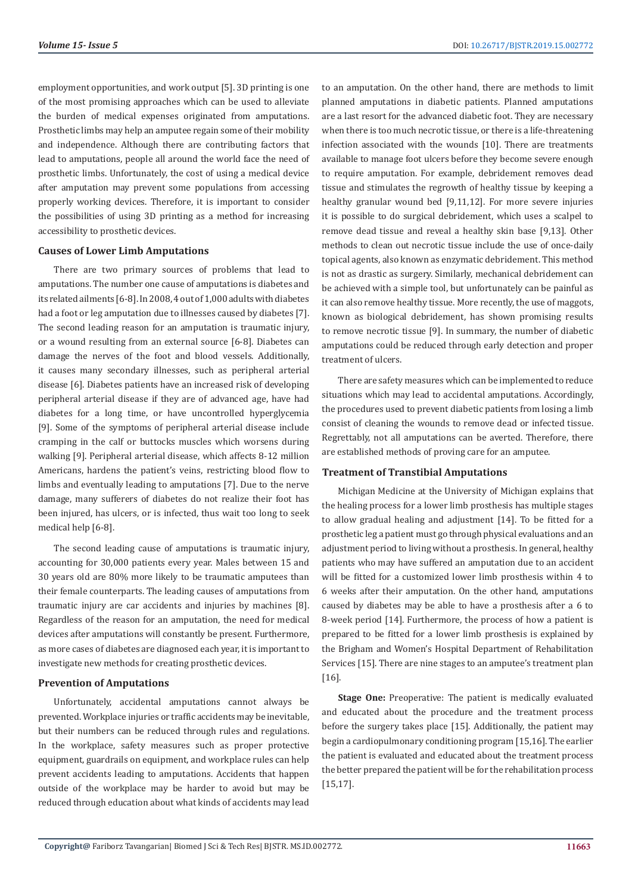employment opportunities, and work output [5]. 3D printing is one of the most promising approaches which can be used to alleviate the burden of medical expenses originated from amputations. Prosthetic limbs may help an amputee regain some of their mobility and independence. Although there are contributing factors that lead to amputations, people all around the world face the need of prosthetic limbs. Unfortunately, the cost of using a medical device after amputation may prevent some populations from accessing properly working devices. Therefore, it is important to consider the possibilities of using 3D printing as a method for increasing accessibility to prosthetic devices.

## **Causes of Lower Limb Amputations**

There are two primary sources of problems that lead to amputations. The number one cause of amputations is diabetes and its related ailments [6-8]. In 2008, 4 out of 1,000 adults with diabetes had a foot or leg amputation due to illnesses caused by diabetes [7]. The second leading reason for an amputation is traumatic injury, or a wound resulting from an external source [6-8]. Diabetes can damage the nerves of the foot and blood vessels. Additionally, it causes many secondary illnesses, such as peripheral arterial disease [6]. Diabetes patients have an increased risk of developing peripheral arterial disease if they are of advanced age, have had diabetes for a long time, or have uncontrolled hyperglycemia [9]. Some of the symptoms of peripheral arterial disease include cramping in the calf or buttocks muscles which worsens during walking [9]. Peripheral arterial disease, which affects 8-12 million Americans, hardens the patient's veins, restricting blood flow to limbs and eventually leading to amputations [7]. Due to the nerve damage, many sufferers of diabetes do not realize their foot has been injured, has ulcers, or is infected, thus wait too long to seek medical help [6-8].

The second leading cause of amputations is traumatic injury, accounting for 30,000 patients every year. Males between 15 and 30 years old are 80% more likely to be traumatic amputees than their female counterparts. The leading causes of amputations from traumatic injury are car accidents and injuries by machines [8]. Regardless of the reason for an amputation, the need for medical devices after amputations will constantly be present. Furthermore, as more cases of diabetes are diagnosed each year, it is important to investigate new methods for creating prosthetic devices.

#### **Prevention of Amputations**

Unfortunately, accidental amputations cannot always be prevented. Workplace injuries or traffic accidents may be inevitable, but their numbers can be reduced through rules and regulations. In the workplace, safety measures such as proper protective equipment, guardrails on equipment, and workplace rules can help prevent accidents leading to amputations. Accidents that happen outside of the workplace may be harder to avoid but may be reduced through education about what kinds of accidents may lead

to an amputation. On the other hand, there are methods to limit planned amputations in diabetic patients. Planned amputations are a last resort for the advanced diabetic foot. They are necessary when there is too much necrotic tissue, or there is a life-threatening infection associated with the wounds [10]. There are treatments available to manage foot ulcers before they become severe enough to require amputation. For example, debridement removes dead tissue and stimulates the regrowth of healthy tissue by keeping a healthy granular wound bed [9,11,12]. For more severe injuries it is possible to do surgical debridement, which uses a scalpel to remove dead tissue and reveal a healthy skin base [9,13]. Other methods to clean out necrotic tissue include the use of once-daily topical agents, also known as enzymatic debridement. This method is not as drastic as surgery. Similarly, mechanical debridement can be achieved with a simple tool, but unfortunately can be painful as it can also remove healthy tissue. More recently, the use of maggots, known as biological debridement, has shown promising results to remove necrotic tissue [9]. In summary, the number of diabetic amputations could be reduced through early detection and proper treatment of ulcers.

There are safety measures which can be implemented to reduce situations which may lead to accidental amputations. Accordingly, the procedures used to prevent diabetic patients from losing a limb consist of cleaning the wounds to remove dead or infected tissue. Regrettably, not all amputations can be averted. Therefore, there are established methods of proving care for an amputee.

#### **Treatment of Transtibial Amputations**

Michigan Medicine at the University of Michigan explains that the healing process for a lower limb prosthesis has multiple stages to allow gradual healing and adjustment [14]. To be fitted for a prosthetic leg a patient must go through physical evaluations and an adjustment period to living without a prosthesis. In general, healthy patients who may have suffered an amputation due to an accident will be fitted for a customized lower limb prosthesis within 4 to 6 weeks after their amputation. On the other hand, amputations caused by diabetes may be able to have a prosthesis after a 6 to 8-week period [14]. Furthermore, the process of how a patient is prepared to be fitted for a lower limb prosthesis is explained by the Brigham and Women's Hospital Department of Rehabilitation Services [15]. There are nine stages to an amputee's treatment plan [16].

**Stage One:** Preoperative: The patient is medically evaluated and educated about the procedure and the treatment process before the surgery takes place [15]. Additionally, the patient may begin a cardiopulmonary conditioning program [15,16]. The earlier the patient is evaluated and educated about the treatment process the better prepared the patient will be for the rehabilitation process [15,17].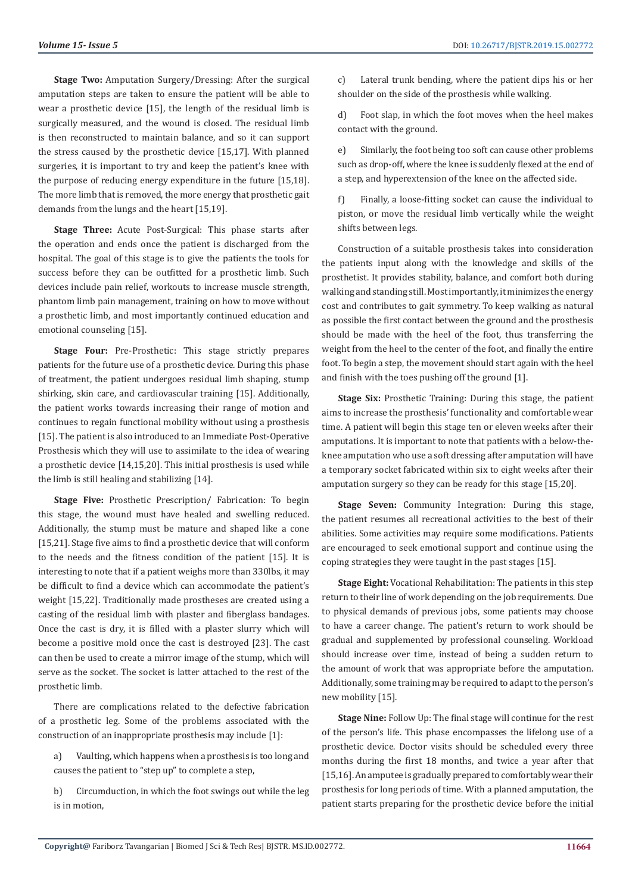**Stage Two:** Amputation Surgery/Dressing: After the surgical amputation steps are taken to ensure the patient will be able to wear a prosthetic device [15], the length of the residual limb is surgically measured, and the wound is closed. The residual limb is then reconstructed to maintain balance, and so it can support the stress caused by the prosthetic device [15,17]. With planned surgeries, it is important to try and keep the patient's knee with the purpose of reducing energy expenditure in the future [15,18]. The more limb that is removed, the more energy that prosthetic gait demands from the lungs and the heart [15,19].

**Stage Three:** Acute Post-Surgical: This phase starts after the operation and ends once the patient is discharged from the hospital. The goal of this stage is to give the patients the tools for success before they can be outfitted for a prosthetic limb. Such devices include pain relief, workouts to increase muscle strength, phantom limb pain management, training on how to move without a prosthetic limb, and most importantly continued education and emotional counseling [15].

**Stage Four:** Pre-Prosthetic: This stage strictly prepares patients for the future use of a prosthetic device. During this phase of treatment, the patient undergoes residual limb shaping, stump shirking, skin care, and cardiovascular training [15]. Additionally, the patient works towards increasing their range of motion and continues to regain functional mobility without using a prosthesis [15]. The patient is also introduced to an Immediate Post-Operative Prosthesis which they will use to assimilate to the idea of wearing a prosthetic device [14,15,20]. This initial prosthesis is used while the limb is still healing and stabilizing [14].

**Stage Five:** Prosthetic Prescription/ Fabrication: To begin this stage, the wound must have healed and swelling reduced. Additionally, the stump must be mature and shaped like a cone [15,21]. Stage five aims to find a prosthetic device that will conform to the needs and the fitness condition of the patient [15]. It is interesting to note that if a patient weighs more than 330lbs, it may be difficult to find a device which can accommodate the patient's weight [15,22]. Traditionally made prostheses are created using a casting of the residual limb with plaster and fiberglass bandages. Once the cast is dry, it is filled with a plaster slurry which will become a positive mold once the cast is destroyed [23]. The cast can then be used to create a mirror image of the stump, which will serve as the socket. The socket is latter attached to the rest of the prosthetic limb.

There are complications related to the defective fabrication of a prosthetic leg. Some of the problems associated with the construction of an inappropriate prosthesis may include [1]:

- a) Vaulting, which happens when a prosthesis is too long and causes the patient to "step up" to complete a step,
- b) Circumduction, in which the foot swings out while the leg is in motion,

c) Lateral trunk bending, where the patient dips his or her shoulder on the side of the prosthesis while walking.

d) Foot slap, in which the foot moves when the heel makes contact with the ground.

e) Similarly, the foot being too soft can cause other problems such as drop-off, where the knee is suddenly flexed at the end of a step, and hyperextension of the knee on the affected side.

f) Finally, a loose-fitting socket can cause the individual to piston, or move the residual limb vertically while the weight shifts between legs.

Construction of a suitable prosthesis takes into consideration the patients input along with the knowledge and skills of the prosthetist. It provides stability, balance, and comfort both during walking and standing still. Most importantly, it minimizes the energy cost and contributes to gait symmetry. To keep walking as natural as possible the first contact between the ground and the prosthesis should be made with the heel of the foot, thus transferring the weight from the heel to the center of the foot, and finally the entire foot. To begin a step, the movement should start again with the heel and finish with the toes pushing off the ground [1].

**Stage Six:** Prosthetic Training: During this stage, the patient aims to increase the prosthesis' functionality and comfortable wear time. A patient will begin this stage ten or eleven weeks after their amputations. It is important to note that patients with a below-theknee amputation who use a soft dressing after amputation will have a temporary socket fabricated within six to eight weeks after their amputation surgery so they can be ready for this stage [15,20].

**Stage Seven:** Community Integration: During this stage, the patient resumes all recreational activities to the best of their abilities. Some activities may require some modifications. Patients are encouraged to seek emotional support and continue using the coping strategies they were taught in the past stages [15].

**Stage Eight:** Vocational Rehabilitation: The patients in this step return to their line of work depending on the job requirements. Due to physical demands of previous jobs, some patients may choose to have a career change. The patient's return to work should be gradual and supplemented by professional counseling. Workload should increase over time, instead of being a sudden return to the amount of work that was appropriate before the amputation. Additionally, some training may be required to adapt to the person's new mobility [15].

**Stage Nine:** Follow Up: The final stage will continue for the rest of the person's life. This phase encompasses the lifelong use of a prosthetic device. Doctor visits should be scheduled every three months during the first 18 months, and twice a year after that [15,16]. An amputee is gradually prepared to comfortably wear their prosthesis for long periods of time. With a planned amputation, the patient starts preparing for the prosthetic device before the initial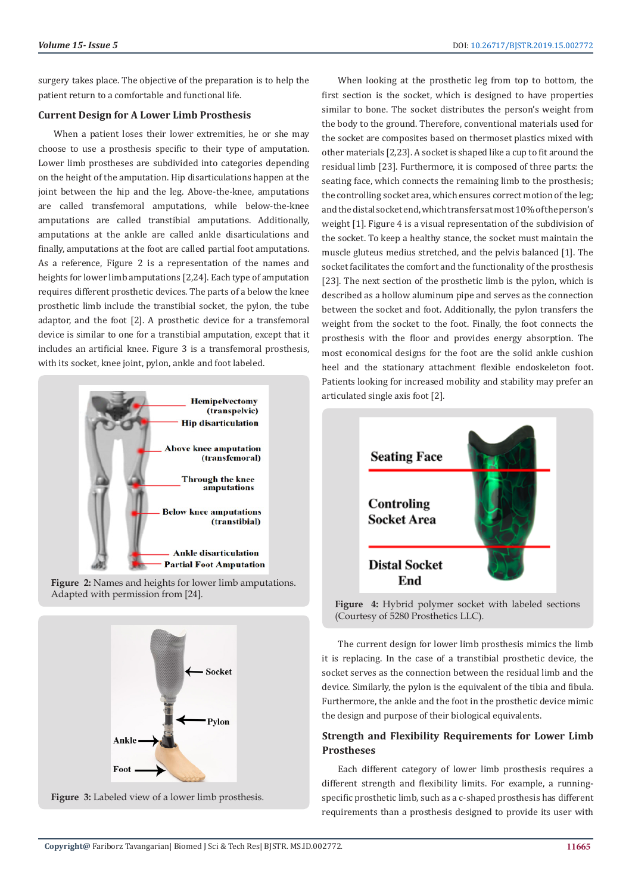surgery takes place. The objective of the preparation is to help the patient return to a comfortable and functional life.

# **Current Design for A Lower Limb Prosthesis**

When a patient loses their lower extremities, he or she may choose to use a prosthesis specific to their type of amputation. Lower limb prostheses are subdivided into categories depending on the height of the amputation. Hip disarticulations happen at the joint between the hip and the leg. Above-the-knee, amputations are called transfemoral amputations, while below-the-knee amputations are called transtibial amputations. Additionally, amputations at the ankle are called ankle disarticulations and finally, amputations at the foot are called partial foot amputations. As a reference, Figure 2 is a representation of the names and heights for lower limb amputations [2,24]. Each type of amputation requires different prosthetic devices. The parts of a below the knee prosthetic limb include the transtibial socket, the pylon, the tube adaptor, and the foot [2]. A prosthetic device for a transfemoral device is similar to one for a transtibial amputation, except that it includes an artificial knee. Figure 3 is a transfemoral prosthesis, with its socket, knee joint, pylon, ankle and foot labeled.



**Figure 2:** Names and heights for lower limb amputations. Adapted with permission from [24].





When looking at the prosthetic leg from top to bottom, the first section is the socket, which is designed to have properties similar to bone. The socket distributes the person's weight from the body to the ground. Therefore, conventional materials used for the socket are composites based on thermoset plastics mixed with other materials [2,23]. A socket is shaped like a cup to fit around the residual limb [23]. Furthermore, it is composed of three parts: the seating face, which connects the remaining limb to the prosthesis; the controlling socket area, which ensures correct motion of the leg; and the distal socket end, which transfers at most 10% of the person's weight [1]. Figure 4 is a visual representation of the subdivision of the socket. To keep a healthy stance, the socket must maintain the muscle gluteus medius stretched, and the pelvis balanced [1]. The socket facilitates the comfort and the functionality of the prosthesis [23]. The next section of the prosthetic limb is the pylon, which is described as a hollow aluminum pipe and serves as the connection between the socket and foot. Additionally, the pylon transfers the weight from the socket to the foot. Finally, the foot connects the prosthesis with the floor and provides energy absorption. The most economical designs for the foot are the solid ankle cushion heel and the stationary attachment flexible endoskeleton foot. Patients looking for increased mobility and stability may prefer an articulated single axis foot [2].



**Figure 4:** Hybrid polymer socket with labeled sections (Courtesy of 5280 Prosthetics LLC).

The current design for lower limb prosthesis mimics the limb it is replacing. In the case of a transtibial prosthetic device, the socket serves as the connection between the residual limb and the device. Similarly, the pylon is the equivalent of the tibia and fibula. Furthermore, the ankle and the foot in the prosthetic device mimic the design and purpose of their biological equivalents.

# **Strength and Flexibility Requirements for Lower Limb Prostheses**

Each different category of lower limb prosthesis requires a different strength and flexibility limits. For example, a runningspecific prosthetic limb, such as a c-shaped prosthesis has different requirements than a prosthesis designed to provide its user with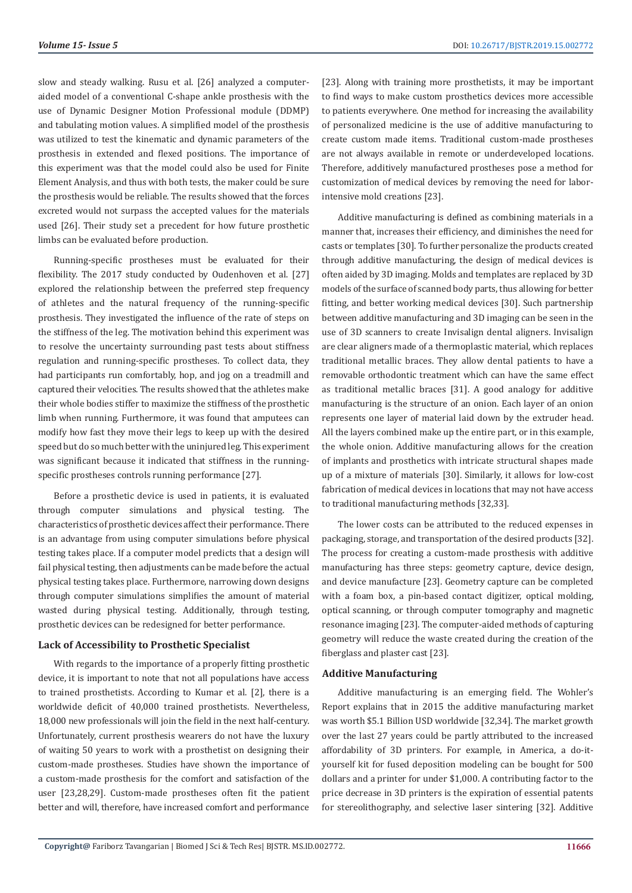slow and steady walking. Rusu et al. [26] analyzed a computeraided model of a conventional C-shape ankle prosthesis with the use of Dynamic Designer Motion Professional module (DDMP) and tabulating motion values. A simplified model of the prosthesis was utilized to test the kinematic and dynamic parameters of the prosthesis in extended and flexed positions. The importance of this experiment was that the model could also be used for Finite Element Analysis, and thus with both tests, the maker could be sure the prosthesis would be reliable. The results showed that the forces excreted would not surpass the accepted values for the materials used [26]. Their study set a precedent for how future prosthetic limbs can be evaluated before production.

Running-specific prostheses must be evaluated for their flexibility. The 2017 study conducted by Oudenhoven et al. [27] explored the relationship between the preferred step frequency of athletes and the natural frequency of the running-specific prosthesis. They investigated the influence of the rate of steps on the stiffness of the leg. The motivation behind this experiment was to resolve the uncertainty surrounding past tests about stiffness regulation and running-specific prostheses. To collect data, they had participants run comfortably, hop, and jog on a treadmill and captured their velocities. The results showed that the athletes make their whole bodies stiffer to maximize the stiffness of the prosthetic limb when running. Furthermore, it was found that amputees can modify how fast they move their legs to keep up with the desired speed but do so much better with the uninjured leg. This experiment was significant because it indicated that stiffness in the runningspecific prostheses controls running performance [27].

Before a prosthetic device is used in patients, it is evaluated through computer simulations and physical testing. The characteristics of prosthetic devices affect their performance. There is an advantage from using computer simulations before physical testing takes place. If a computer model predicts that a design will fail physical testing, then adjustments can be made before the actual physical testing takes place. Furthermore, narrowing down designs through computer simulations simplifies the amount of material wasted during physical testing. Additionally, through testing, prosthetic devices can be redesigned for better performance.

#### **Lack of Accessibility to Prosthetic Specialist**

With regards to the importance of a properly fitting prosthetic device, it is important to note that not all populations have access to trained prosthetists. According to Kumar et al. [2], there is a worldwide deficit of 40,000 trained prosthetists. Nevertheless, 18,000 new professionals will join the field in the next half-century. Unfortunately, current prosthesis wearers do not have the luxury of waiting 50 years to work with a prosthetist on designing their custom-made prostheses. Studies have shown the importance of a custom-made prosthesis for the comfort and satisfaction of the user [23,28,29]. Custom-made prostheses often fit the patient better and will, therefore, have increased comfort and performance

[23]. Along with training more prosthetists, it may be important to find ways to make custom prosthetics devices more accessible to patients everywhere. One method for increasing the availability of personalized medicine is the use of additive manufacturing to create custom made items. Traditional custom-made prostheses are not always available in remote or underdeveloped locations. Therefore, additively manufactured prostheses pose a method for customization of medical devices by removing the need for laborintensive mold creations [23].

Additive manufacturing is defined as combining materials in a manner that, increases their efficiency, and diminishes the need for casts or templates [30]. To further personalize the products created through additive manufacturing, the design of medical devices is often aided by 3D imaging. Molds and templates are replaced by 3D models of the surface of scanned body parts, thus allowing for better fitting, and better working medical devices [30]. Such partnership between additive manufacturing and 3D imaging can be seen in the use of 3D scanners to create Invisalign dental aligners. Invisalign are clear aligners made of a thermoplastic material, which replaces traditional metallic braces. They allow dental patients to have a removable orthodontic treatment which can have the same effect as traditional metallic braces [31]. A good analogy for additive manufacturing is the structure of an onion. Each layer of an onion represents one layer of material laid down by the extruder head. All the layers combined make up the entire part, or in this example, the whole onion. Additive manufacturing allows for the creation of implants and prosthetics with intricate structural shapes made up of a mixture of materials [30]. Similarly, it allows for low-cost fabrication of medical devices in locations that may not have access to traditional manufacturing methods [32,33].

The lower costs can be attributed to the reduced expenses in packaging, storage, and transportation of the desired products [32]. The process for creating a custom-made prosthesis with additive manufacturing has three steps: geometry capture, device design, and device manufacture [23]. Geometry capture can be completed with a foam box, a pin-based contact digitizer, optical molding, optical scanning, or through computer tomography and magnetic resonance imaging [23]. The computer-aided methods of capturing geometry will reduce the waste created during the creation of the fiberglass and plaster cast [23].

## **Additive Manufacturing**

Additive manufacturing is an emerging field. The Wohler's Report explains that in 2015 the additive manufacturing market was worth \$5.1 Billion USD worldwide [32,34]. The market growth over the last 27 years could be partly attributed to the increased affordability of 3D printers. For example, in America, a do-ityourself kit for fused deposition modeling can be bought for 500 dollars and a printer for under \$1,000. A contributing factor to the price decrease in 3D printers is the expiration of essential patents for stereolithography, and selective laser sintering [32]. Additive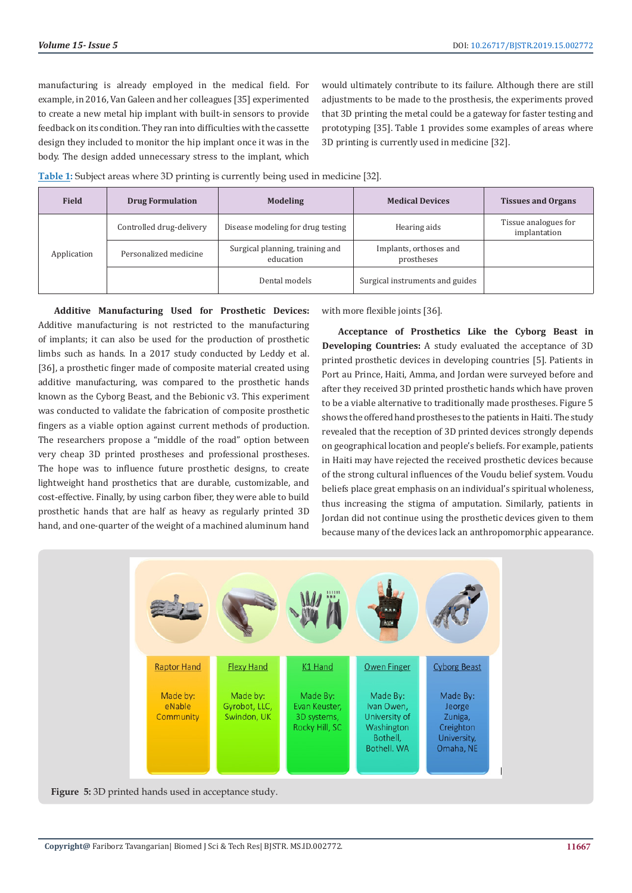manufacturing is already employed in the medical field. For example, in 2016, Van Galeen and her colleagues [35] experimented to create a new metal hip implant with built-in sensors to provide feedback on its condition. They ran into difficulties with the cassette design they included to monitor the hip implant once it was in the body. The design added unnecessary stress to the implant, which would ultimately contribute to its failure. Although there are still adjustments to be made to the prosthesis, the experiments proved that 3D printing the metal could be a gateway for faster testing and prototyping [35]. Table 1 provides some examples of areas where 3D printing is currently used in medicine [32].

**Table 1:** Subject areas where 3D printing is currently being used in medicine [32].

| <b>Field</b> | <b>Drug Formulation</b>  | <b>Modeling</b>                              | <b>Medical Devices</b>               | <b>Tissues and Organs</b>            |
|--------------|--------------------------|----------------------------------------------|--------------------------------------|--------------------------------------|
| Application  | Controlled drug-delivery | Disease modeling for drug testing            | Hearing aids                         | Tissue analogues for<br>implantation |
|              | Personalized medicine    | Surgical planning, training and<br>education | Implants, orthoses and<br>prostheses |                                      |
|              |                          | Dental models                                | Surgical instruments and guides      |                                      |

**Additive Manufacturing Used for Prosthetic Devices:**  Additive manufacturing is not restricted to the manufacturing of implants; it can also be used for the production of prosthetic limbs such as hands. In a 2017 study conducted by Leddy et al. [36], a prosthetic finger made of composite material created using additive manufacturing, was compared to the prosthetic hands known as the Cyborg Beast, and the Bebionic v3. This experiment was conducted to validate the fabrication of composite prosthetic fingers as a viable option against current methods of production. The researchers propose a "middle of the road" option between very cheap 3D printed prostheses and professional prostheses. The hope was to influence future prosthetic designs, to create lightweight hand prosthetics that are durable, customizable, and cost-effective. Finally, by using carbon fiber, they were able to build prosthetic hands that are half as heavy as regularly printed 3D hand, and one-quarter of the weight of a machined aluminum hand

with more flexible joints [36].

**Acceptance of Prosthetics Like the Cyborg Beast in Developing Countries:** A study evaluated the acceptance of 3D printed prosthetic devices in developing countries [5]. Patients in Port au Prince, Haiti, Amma, and Jordan were surveyed before and after they received 3D printed prosthetic hands which have proven to be a viable alternative to traditionally made prostheses. Figure 5 shows the offered hand prostheses to the patients in Haiti. The study revealed that the reception of 3D printed devices strongly depends on geographical location and people's beliefs. For example, patients in Haiti may have rejected the received prosthetic devices because of the strong cultural influences of the Voudu belief system. Voudu beliefs place great emphasis on an individual's spiritual wholeness, thus increasing the stigma of amputation. Similarly, patients in Jordan did not continue using the prosthetic devices given to them because many of the devices lack an anthropomorphic appearance.



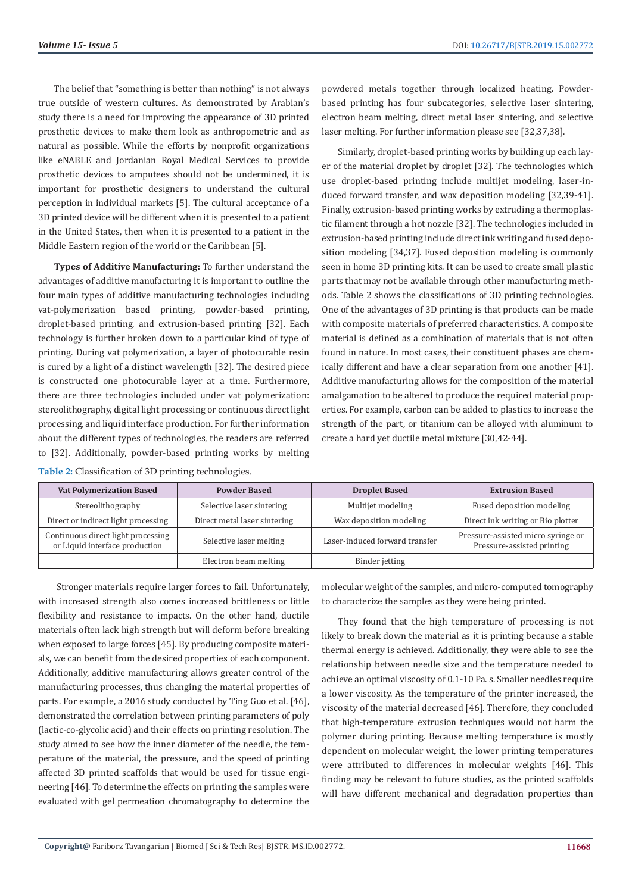The belief that "something is better than nothing" is not always true outside of western cultures. As demonstrated by Arabian's study there is a need for improving the appearance of 3D printed prosthetic devices to make them look as anthropometric and as natural as possible. While the efforts by nonprofit organizations like eNABLE and Jordanian Royal Medical Services to provide prosthetic devices to amputees should not be undermined, it is important for prosthetic designers to understand the cultural perception in individual markets [5]. The cultural acceptance of a 3D printed device will be different when it is presented to a patient in the United States, then when it is presented to a patient in the Middle Eastern region of the world or the Caribbean [5].

**Types of Additive Manufacturing:** To further understand the advantages of additive manufacturing it is important to outline the four main types of additive manufacturing technologies including vat-polymerization based printing, powder-based printing, droplet-based printing, and extrusion-based printing [32]. Each technology is further broken down to a particular kind of type of printing. During vat polymerization, a layer of photocurable resin is cured by a light of a distinct wavelength [32]. The desired piece is constructed one photocurable layer at a time. Furthermore, there are three technologies included under vat polymerization: stereolithography, digital light processing or continuous direct light processing, and liquid interface production. For further information about the different types of technologies, the readers are referred to [32]. Additionally, powder-based printing works by melting

| Table 2: Classification of 3D printing technologies. |  |  |
|------------------------------------------------------|--|--|
|------------------------------------------------------|--|--|

powdered metals together through localized heating. Powderbased printing has four subcategories, selective laser sintering, electron beam melting, direct metal laser sintering, and selective laser melting. For further information please see [32,37,38].

Similarly, droplet-based printing works by building up each layer of the material droplet by droplet [32]. The technologies which use droplet-based printing include multijet modeling, laser-induced forward transfer, and wax deposition modeling [32,39-41]. Finally, extrusion-based printing works by extruding a thermoplastic filament through a hot nozzle [32]. The technologies included in extrusion-based printing include direct ink writing and fused deposition modeling [34,37]. Fused deposition modeling is commonly seen in home 3D printing kits. It can be used to create small plastic parts that may not be available through other manufacturing methods. Table 2 shows the classifications of 3D printing technologies. One of the advantages of 3D printing is that products can be made with composite materials of preferred characteristics. A composite material is defined as a combination of materials that is not often found in nature. In most cases, their constituent phases are chemically different and have a clear separation from one another [41]. Additive manufacturing allows for the composition of the material amalgamation to be altered to produce the required material properties. For example, carbon can be added to plastics to increase the strength of the part, or titanium can be alloyed with aluminum to create a hard yet ductile metal mixture [30,42-44].

| <b>Vat Polymerization Based</b>                                      | <b>Powder Based</b>          | <b>Droplet Based</b>           | <b>Extrusion Based</b>                                           |
|----------------------------------------------------------------------|------------------------------|--------------------------------|------------------------------------------------------------------|
| Stereolithography                                                    | Selective laser sintering    | Multijet modeling              | Fused deposition modeling                                        |
| Direct or indirect light processing                                  | Direct metal laser sintering | Wax deposition modeling        | Direct ink writing or Bio plotter                                |
| Continuous direct light processing<br>or Liquid interface production | Selective laser melting      | Laser-induced forward transfer | Pressure-assisted micro syringe or<br>Pressure-assisted printing |
|                                                                      | Electron beam melting        | Binder jetting                 |                                                                  |

 Stronger materials require larger forces to fail. Unfortunately, with increased strength also comes increased brittleness or little flexibility and resistance to impacts. On the other hand, ductile materials often lack high strength but will deform before breaking when exposed to large forces [45]. By producing composite materials, we can benefit from the desired properties of each component. Additionally, additive manufacturing allows greater control of the manufacturing processes, thus changing the material properties of parts. For example, a 2016 study conducted by Ting Guo et al. [46], demonstrated the correlation between printing parameters of poly (lactic-co-glycolic acid) and their effects on printing resolution. The study aimed to see how the inner diameter of the needle, the temperature of the material, the pressure, and the speed of printing affected 3D printed scaffolds that would be used for tissue engineering [46]. To determine the effects on printing the samples were evaluated with gel permeation chromatography to determine the

molecular weight of the samples, and micro-computed tomography to characterize the samples as they were being printed.

They found that the high temperature of processing is not likely to break down the material as it is printing because a stable thermal energy is achieved. Additionally, they were able to see the relationship between needle size and the temperature needed to achieve an optimal viscosity of 0.1-10 Pa. s. Smaller needles require a lower viscosity. As the temperature of the printer increased, the viscosity of the material decreased [46]. Therefore, they concluded that high-temperature extrusion techniques would not harm the polymer during printing. Because melting temperature is mostly dependent on molecular weight, the lower printing temperatures were attributed to differences in molecular weights [46]. This finding may be relevant to future studies, as the printed scaffolds will have different mechanical and degradation properties than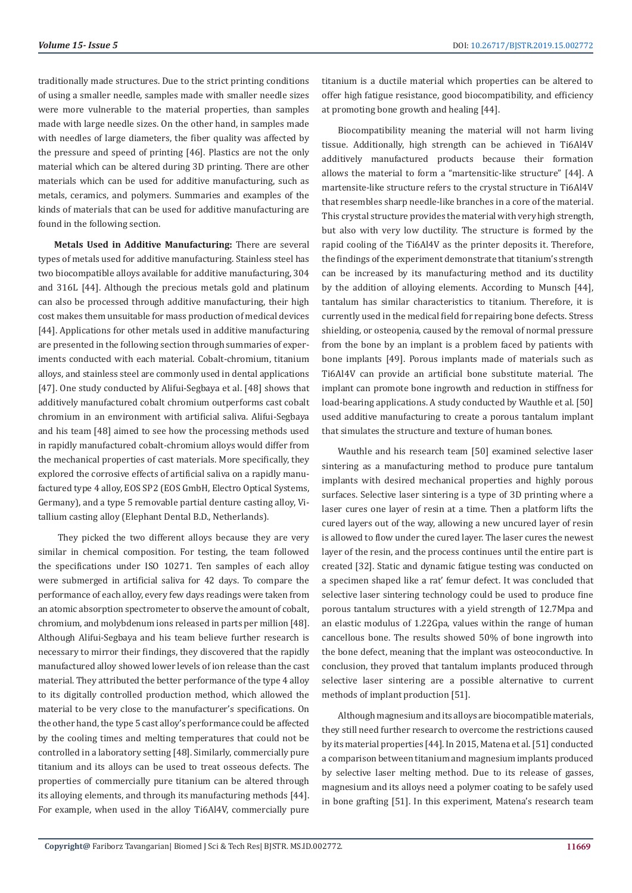traditionally made structures. Due to the strict printing conditions of using a smaller needle, samples made with smaller needle sizes were more vulnerable to the material properties, than samples made with large needle sizes. On the other hand, in samples made with needles of large diameters, the fiber quality was affected by the pressure and speed of printing [46]. Plastics are not the only material which can be altered during 3D printing. There are other materials which can be used for additive manufacturing, such as metals, ceramics, and polymers. Summaries and examples of the kinds of materials that can be used for additive manufacturing are found in the following section.

**Metals Used in Additive Manufacturing:** There are several types of metals used for additive manufacturing. Stainless steel has two biocompatible alloys available for additive manufacturing, 304 and 316L [44]. Although the precious metals gold and platinum can also be processed through additive manufacturing, their high cost makes them unsuitable for mass production of medical devices [44]. Applications for other metals used in additive manufacturing are presented in the following section through summaries of experiments conducted with each material. Cobalt-chromium, titanium alloys, and stainless steel are commonly used in dental applications [47]. One study conducted by Alifui-Segbaya et al. [48] shows that additively manufactured cobalt chromium outperforms cast cobalt chromium in an environment with artificial saliva. Alifui-Segbaya and his team [48] aimed to see how the processing methods used in rapidly manufactured cobalt-chromium alloys would differ from the mechanical properties of cast materials. More specifically, they explored the corrosive effects of artificial saliva on a rapidly manufactured type 4 alloy, EOS SP2 (EOS GmbH, Electro Optical Systems, Germany), and a type 5 removable partial denture casting alloy, Vitallium casting alloy (Elephant Dental B.D., Netherlands).

 They picked the two different alloys because they are very similar in chemical composition. For testing, the team followed the specifications under ISO 10271. Ten samples of each alloy were submerged in artificial saliva for 42 days. To compare the performance of each alloy, every few days readings were taken from an atomic absorption spectrometer to observe the amount of cobalt, chromium, and molybdenum ions released in parts per million [48]. Although Alifui-Segbaya and his team believe further research is necessary to mirror their findings, they discovered that the rapidly manufactured alloy showed lower levels of ion release than the cast material. They attributed the better performance of the type 4 alloy to its digitally controlled production method, which allowed the material to be very close to the manufacturer's specifications. On the other hand, the type 5 cast alloy's performance could be affected by the cooling times and melting temperatures that could not be controlled in a laboratory setting [48]. Similarly, commercially pure titanium and its alloys can be used to treat osseous defects. The properties of commercially pure titanium can be altered through its alloying elements, and through its manufacturing methods [44]. For example, when used in the alloy Ti6Al4V, commercially pure

titanium is a ductile material which properties can be altered to offer high fatigue resistance, good biocompatibility, and efficiency at promoting bone growth and healing [44].

Biocompatibility meaning the material will not harm living tissue. Additionally, high strength can be achieved in Ti6Al4V additively manufactured products because their formation allows the material to form a "martensitic-like structure" [44]. A martensite-like structure refers to the crystal structure in Ti6Al4V that resembles sharp needle-like branches in a core of the material. This crystal structure provides the material with very high strength, but also with very low ductility. The structure is formed by the rapid cooling of the Ti6Al4V as the printer deposits it. Therefore, the findings of the experiment demonstrate that titanium's strength can be increased by its manufacturing method and its ductility by the addition of alloying elements. According to Munsch [44], tantalum has similar characteristics to titanium. Therefore, it is currently used in the medical field for repairing bone defects. Stress shielding, or osteopenia, caused by the removal of normal pressure from the bone by an implant is a problem faced by patients with bone implants [49]. Porous implants made of materials such as Ti6Al4V can provide an artificial bone substitute material. The implant can promote bone ingrowth and reduction in stiffness for load-bearing applications. A study conducted by Wauthle et al. [50] used additive manufacturing to create a porous tantalum implant that simulates the structure and texture of human bones.

Wauthle and his research team [50] examined selective laser sintering as a manufacturing method to produce pure tantalum implants with desired mechanical properties and highly porous surfaces. Selective laser sintering is a type of 3D printing where a laser cures one layer of resin at a time. Then a platform lifts the cured layers out of the way, allowing a new uncured layer of resin is allowed to flow under the cured layer. The laser cures the newest layer of the resin, and the process continues until the entire part is created [32]. Static and dynamic fatigue testing was conducted on a specimen shaped like a rat' femur defect. It was concluded that selective laser sintering technology could be used to produce fine porous tantalum structures with a yield strength of 12.7Mpa and an elastic modulus of 1.22Gpa, values within the range of human cancellous bone. The results showed 50% of bone ingrowth into the bone defect, meaning that the implant was osteoconductive. In conclusion, they proved that tantalum implants produced through selective laser sintering are a possible alternative to current methods of implant production [51].

Although magnesium and its alloys are biocompatible materials, they still need further research to overcome the restrictions caused by its material properties [44]. In 2015, Matena et al. [51] conducted a comparison between titanium and magnesium implants produced by selective laser melting method. Due to its release of gasses, magnesium and its alloys need a polymer coating to be safely used in bone grafting [51]. In this experiment, Matena's research team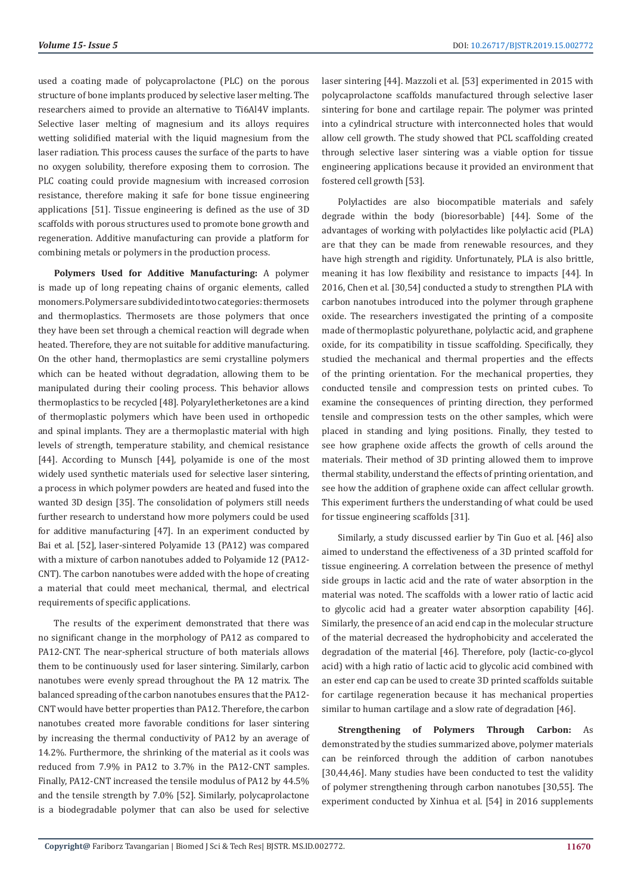used a coating made of polycaprolactone (PLC) on the porous structure of bone implants produced by selective laser melting. The researchers aimed to provide an alternative to Ti6Al4V implants. Selective laser melting of magnesium and its alloys requires wetting solidified material with the liquid magnesium from the laser radiation. This process causes the surface of the parts to have no oxygen solubility, therefore exposing them to corrosion. The PLC coating could provide magnesium with increased corrosion resistance, therefore making it safe for bone tissue engineering applications [51]. Tissue engineering is defined as the use of 3D scaffolds with porous structures used to promote bone growth and regeneration. Additive manufacturing can provide a platform for combining metals or polymers in the production process.

**Polymers Used for Additive Manufacturing:** A polymer is made up of long repeating chains of organic elements, called monomers. Polymers are subdivided into two categories: thermosets and thermoplastics. Thermosets are those polymers that once they have been set through a chemical reaction will degrade when heated. Therefore, they are not suitable for additive manufacturing. On the other hand, thermoplastics are semi crystalline polymers which can be heated without degradation, allowing them to be manipulated during their cooling process. This behavior allows thermoplastics to be recycled [48]. Polyaryletherketones are a kind of thermoplastic polymers which have been used in orthopedic and spinal implants. They are a thermoplastic material with high levels of strength, temperature stability, and chemical resistance [44]. According to Munsch [44], polyamide is one of the most widely used synthetic materials used for selective laser sintering, a process in which polymer powders are heated and fused into the wanted 3D design [35]. The consolidation of polymers still needs further research to understand how more polymers could be used for additive manufacturing [47]. In an experiment conducted by Bai et al. [52], laser-sintered Polyamide 13 (PA12) was compared with a mixture of carbon nanotubes added to Polyamide 12 (PA12- CNT). The carbon nanotubes were added with the hope of creating a material that could meet mechanical, thermal, and electrical requirements of specific applications.

The results of the experiment demonstrated that there was no significant change in the morphology of PA12 as compared to PA12-CNT. The near-spherical structure of both materials allows them to be continuously used for laser sintering. Similarly, carbon nanotubes were evenly spread throughout the PA 12 matrix. The balanced spreading of the carbon nanotubes ensures that the PA12- CNT would have better properties than PA12. Therefore, the carbon nanotubes created more favorable conditions for laser sintering by increasing the thermal conductivity of PA12 by an average of 14.2%. Furthermore, the shrinking of the material as it cools was reduced from 7.9% in PA12 to 3.7% in the PA12-CNT samples. Finally, PA12-CNT increased the tensile modulus of PA12 by 44.5% and the tensile strength by 7.0% [52]. Similarly, polycaprolactone is a biodegradable polymer that can also be used for selective

laser sintering [44]. Mazzoli et al. [53] experimented in 2015 with polycaprolactone scaffolds manufactured through selective laser sintering for bone and cartilage repair. The polymer was printed into a cylindrical structure with interconnected holes that would allow cell growth. The study showed that PCL scaffolding created through selective laser sintering was a viable option for tissue engineering applications because it provided an environment that fostered cell growth [53].

Polylactides are also biocompatible materials and safely degrade within the body (bioresorbable) [44]. Some of the advantages of working with polylactides like polylactic acid (PLA) are that they can be made from renewable resources, and they have high strength and rigidity. Unfortunately, PLA is also brittle, meaning it has low flexibility and resistance to impacts [44]. In 2016, Chen et al. [30,54] conducted a study to strengthen PLA with carbon nanotubes introduced into the polymer through graphene oxide. The researchers investigated the printing of a composite made of thermoplastic polyurethane, polylactic acid, and graphene oxide, for its compatibility in tissue scaffolding. Specifically, they studied the mechanical and thermal properties and the effects of the printing orientation. For the mechanical properties, they conducted tensile and compression tests on printed cubes. To examine the consequences of printing direction, they performed tensile and compression tests on the other samples, which were placed in standing and lying positions. Finally, they tested to see how graphene oxide affects the growth of cells around the materials. Their method of 3D printing allowed them to improve thermal stability, understand the effects of printing orientation, and see how the addition of graphene oxide can affect cellular growth. This experiment furthers the understanding of what could be used for tissue engineering scaffolds [31].

Similarly, a study discussed earlier by Tin Guo et al. [46] also aimed to understand the effectiveness of a 3D printed scaffold for tissue engineering. A correlation between the presence of methyl side groups in lactic acid and the rate of water absorption in the material was noted. The scaffolds with a lower ratio of lactic acid to glycolic acid had a greater water absorption capability [46]. Similarly, the presence of an acid end cap in the molecular structure of the material decreased the hydrophobicity and accelerated the degradation of the material [46]. Therefore, poly (lactic-co-glycol acid) with a high ratio of lactic acid to glycolic acid combined with an ester end cap can be used to create 3D printed scaffolds suitable for cartilage regeneration because it has mechanical properties similar to human cartilage and a slow rate of degradation [46].

**Strengthening of Polymers Through Carbon:** As demonstrated by the studies summarized above, polymer materials can be reinforced through the addition of carbon nanotubes [30,44,46]. Many studies have been conducted to test the validity of polymer strengthening through carbon nanotubes [30,55]. The experiment conducted by Xinhua et al. [54] in 2016 supplements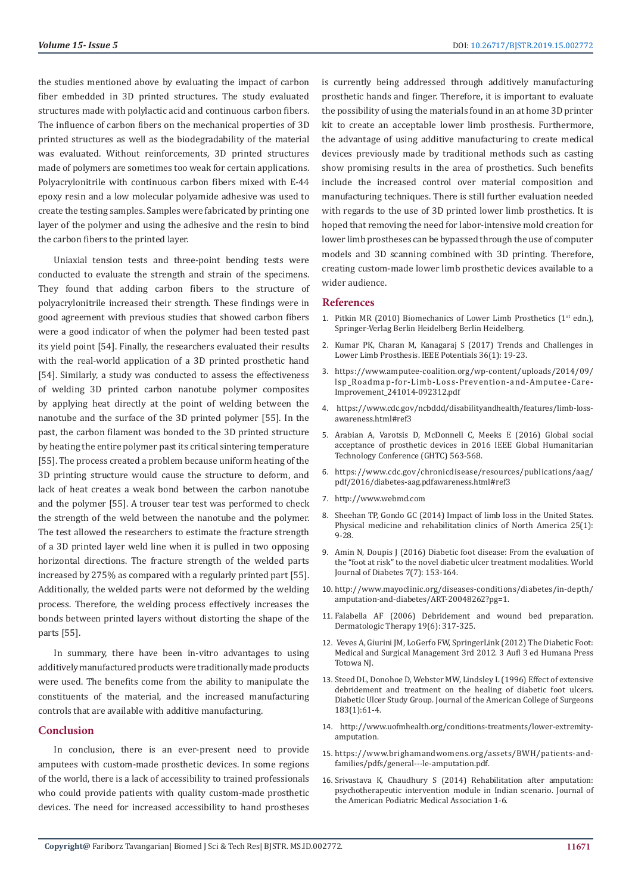the studies mentioned above by evaluating the impact of carbon fiber embedded in 3D printed structures. The study evaluated structures made with polylactic acid and continuous carbon fibers. The influence of carbon fibers on the mechanical properties of 3D printed structures as well as the biodegradability of the material was evaluated. Without reinforcements, 3D printed structures made of polymers are sometimes too weak for certain applications. Polyacrylonitrile with continuous carbon fibers mixed with E-44 epoxy resin and a low molecular polyamide adhesive was used to create the testing samples. Samples were fabricated by printing one layer of the polymer and using the adhesive and the resin to bind the carbon fibers to the printed layer.

Uniaxial tension tests and three-point bending tests were conducted to evaluate the strength and strain of the specimens. They found that adding carbon fibers to the structure of polyacrylonitrile increased their strength. These findings were in good agreement with previous studies that showed carbon fibers were a good indicator of when the polymer had been tested past its yield point [54]. Finally, the researchers evaluated their results with the real-world application of a 3D printed prosthetic hand [54]. Similarly, a study was conducted to assess the effectiveness of welding 3D printed carbon nanotube polymer composites by applying heat directly at the point of welding between the nanotube and the surface of the 3D printed polymer [55]. In the past, the carbon filament was bonded to the 3D printed structure by heating the entire polymer past its critical sintering temperature [55]. The process created a problem because uniform heating of the 3D printing structure would cause the structure to deform, and lack of heat creates a weak bond between the carbon nanotube and the polymer [55]. A trouser tear test was performed to check the strength of the weld between the nanotube and the polymer. The test allowed the researchers to estimate the fracture strength of a 3D printed layer weld line when it is pulled in two opposing horizontal directions. The fracture strength of the welded parts increased by 275% as compared with a regularly printed part [55]. Additionally, the welded parts were not deformed by the welding process. Therefore, the welding process effectively increases the bonds between printed layers without distorting the shape of the parts [55].

In summary, there have been in-vitro advantages to using additively manufactured products were traditionally made products were used. The benefits come from the ability to manipulate the constituents of the material, and the increased manufacturing controls that are available with additive manufacturing.

#### **Conclusion**

In conclusion, there is an ever-present need to provide amputees with custom-made prosthetic devices. In some regions of the world, there is a lack of accessibility to trained professionals who could provide patients with quality custom-made prosthetic devices. The need for increased accessibility to hand prostheses

is currently being addressed through additively manufacturing prosthetic hands and finger. Therefore, it is important to evaluate the possibility of using the materials found in an at home 3D printer kit to create an acceptable lower limb prosthesis. Furthermore, the advantage of using additive manufacturing to create medical devices previously made by traditional methods such as casting show promising results in the area of prosthetics. Such benefits include the increased control over material composition and manufacturing techniques. There is still further evaluation needed with regards to the use of 3D printed lower limb prosthetics. It is hoped that removing the need for labor-intensive mold creation for lower limb prostheses can be bypassed through the use of computer models and 3D scanning combined with 3D printing. Therefore, creating custom-made lower limb prosthetic devices available to a wider audience.

#### **References**

- 1. Pitkin MR (2010) Biomechanics of Lower Limb Prosthetics ( $1<sup>st</sup>$  edn.), Springer-Verlag Berlin Heidelberg Berlin Heidelberg.
- 2. Kumar PK, Charan M, Kanagaraj S (2017) Trends and Challenges in Lower Limb Prosthesis. IEEE Potentials 36(1): 19-23.
- 3. https://www.amputee-coalition.org/wp-content/uploads/2014/09/ lsp\_Roadmap-for-Limb-Loss-Prevention-and-Amputee-Care-Improvement\_241014-092312.pdf
- 4. https://www.cdc.gov/ncbddd/disabilityandhealth/features/limb-lossawareness.html#ref3
- 5. Arabian A, Varotsis D, McDonnell C, Meeks E (2016) Global social acceptance of prosthetic devices in 2016 IEEE Global Humanitarian Technology Conference (GHTC) 563-568.
- 6. https://www.cdc.gov/chronicdisease/resources/publications/aag/ pdf/2016/diabetes-aag.pdfawareness.html#ref3
- 7. http://www.webmd.com
- 8. Sheehan TP, Gondo GC (2014) Impact of limb loss in the United States. Physical medicine and rehabilitation clinics of North America 25(1): 9-28.
- 9. Amin N, Doupis J (2016) Diabetic foot disease: From the evaluation of the "foot at risk" to the novel diabetic ulcer treatment modalities. World Journal of Diabetes 7(7): 153-164.
- 10. http://www.mayoclinic.org/diseases-conditions/diabetes/in-depth/ amputation-and-diabetes/ART-20048262?pg=1.
- 11. Falabella AF (2006) Debridement and wound bed preparation. Dermatologic Therapy 19(6): 317-325.
- 12. Veves A, Giurini JM, LoGerfo FW, SpringerLink (2012) The Diabetic Foot: Medical and Surgical Management 3rd 2012. 3 Aufl 3 ed Humana Press Totowa NJ.
- 13. Steed DL, Donohoe D, Webster MW, Lindsley L (1996) Effect of extensive debridement and treatment on the healing of diabetic foot ulcers. Diabetic Ulcer Study Group. Journal of the American College of Surgeons 183(1):61-4.
- 14. http://www.uofmhealth.org/conditions-treatments/lower-extremityamputation.
- 15. https://www.brighamandwomens.org/assets/BWH/patients-andfamilies/pdfs/general---le-amputation.pdf.
- 16. Srivastava K, Chaudhury S (2014) Rehabilitation after amputation: psychotherapeutic intervention module in Indian scenario. Journal of the American Podiatric Medical Association 1-6.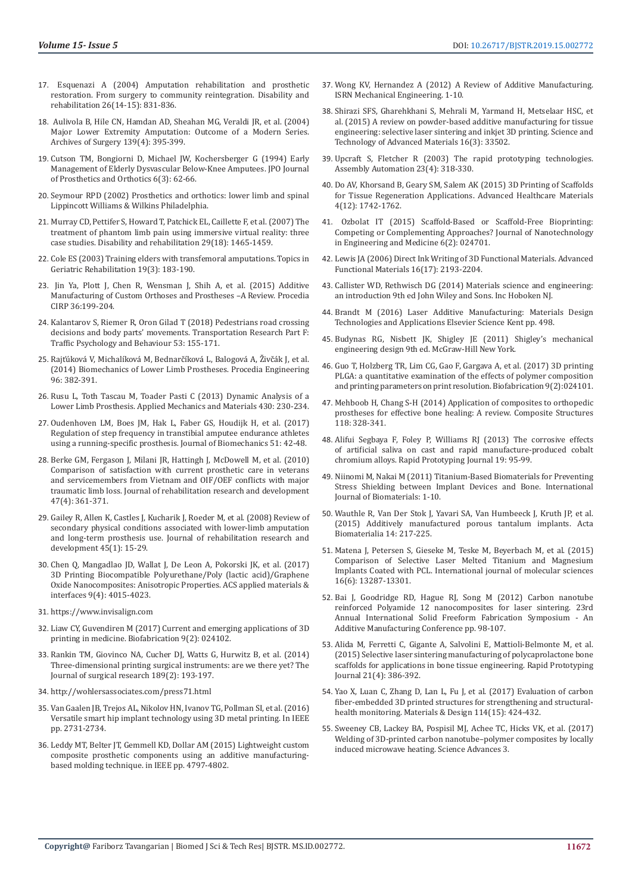- 17. Esquenazi A (2004) Amputation rehabilitation and prosthetic restoration. From surgery to community reintegration. Disability and rehabilitation 26(14-15): 831-836.
- 18. Aulivola B, Hile CN, Hamdan AD, Sheahan MG, Veraldi JR, et al. (2004) Major Lower Extremity Amputation: Outcome of a Modern Series. Archives of Surgery 139(4): 395-399.
- 19. Cutson TM, Bongiorni D, Michael JW, Kochersberger G (1994) Early Management of Elderly Dysvascular Below-Knee Amputees. JPO Journal of Prosthetics and Orthotics 6(3): 62-66.
- 20. Seymour RPD (2002) Prosthetics and orthotics: lower limb and spinal Lippincott Williams & Wilkins Philadelphia.
- 21. Murray CD, Pettifer S, Howard T, Patchick EL, Caillette F, et al. (2007) The treatment of phantom limb pain using immersive virtual reality: three case studies. Disability and rehabilitation 29(18): 1465-1459.
- 22. Cole ES (2003) Training elders with transfemoral amputations. Topics in Geriatric Rehabilitation 19(3): 183-190.
- 23. Jin Ya, Plott J, Chen R, Wensman J, Shih A, et al. (2015) Additive Manufacturing of Custom Orthoses and Prostheses –A Review. Procedia CIRP 36:199-204.
- 24. Kalantarov S, Riemer R, Oron Gilad T (2018) Pedestrians road crossing decisions and body parts' movements. Transportation Research Part F: Traffic Psychology and Behaviour 53: 155-171.
- 25. Rajťúková V, Michalíková M, Bednarčíková L, Balogová A, Živčák J, et al. (2014) Biomechanics of Lower Limb Prostheses. Procedia Engineering 96: 382-391.
- 26. Rusu L, Toth Tascau M, Toader Pasti C (2013) Dynamic Analysis of a Lower Limb Prosthesis. Applied Mechanics and Materials 430: 230-234.
- 27. Oudenhoven LM, Boes JM, Hak L, Faber GS, Houdijk H, et al. (2017) Regulation of step frequency in transtibial amputee endurance athletes using a running-specific prosthesis. Journal of Biomechanics 51: 42-48.
- 28. Berke GM, Fergason J, Milani JR, Hattingh J, McDowell M, et al. (2010) Comparison of satisfaction with current prosthetic care in veterans and servicemembers from Vietnam and OIF/OEF conflicts with major traumatic limb loss. Journal of rehabilitation research and development 47(4): 361-371.
- 29. Gailey R, Allen K, Castles J, Kucharik J, Roeder M, et al. (2008) Review of secondary physical conditions associated with lower-limb amputation and long-term prosthesis use. Journal of rehabilitation research and development 45(1): 15-29.
- 30. Chen Q, Mangadlao JD, Wallat J, De Leon A, Pokorski JK, et al. (2017) 3D Printing Biocompatible Polyurethane/Poly (lactic acid)/Graphene Oxide Nanocomposites: Anisotropic Properties. ACS applied materials & interfaces 9(4): 4015-4023.
- 31. https://www.invisalign.com
- 32. Liaw CY, Guvendiren M (2017) Current and emerging applications of 3D printing in medicine. Biofabrication 9(2): 024102.
- 33. Rankin TM, Giovinco NA, Cucher DJ, Watts G, Hurwitz B, et al. (2014) Three-dimensional printing surgical instruments: are we there yet? The Journal of surgical research 189(2): 193-197.
- 34. http://wohlersassociates.com/press71.html
- 35. Van Gaalen JB, Trejos AL, Nikolov HN, Ivanov TG, Pollman SI, et al. (2016) Versatile smart hip implant technology using 3D metal printing. In IEEE pp. 2731-2734.
- 36. Leddy MT, Belter JT, Gemmell KD, Dollar AM (2015) Lightweight custom composite prosthetic components using an additive manufacturingbased molding technique. in IEEE pp. 4797-4802.
- 37. Wong KV, Hernandez A (2012) A Review of Additive Manufacturing. ISRN Mechanical Engineering. 1-10.
- 38. Shirazi SFS, Gharehkhani S, Mehrali M, Yarmand H, Metselaar HSC, et al. (2015) A review on powder-based additive manufacturing for tissue engineering: selective laser sintering and inkjet 3D printing. Science and Technology of Advanced Materials 16(3): 33502.
- 39. Upcraft S, Fletcher R (2003) The rapid prototyping technologies. Assembly Automation 23(4): 318-330.
- 40. Do AV, Khorsand B, Geary SM, Salem AK (2015) 3D Printing of Scaffolds for Tissue Regeneration Applications. Advanced Healthcare Materials 4(12): 1742-1762.
- 41. Ozbolat IT (2015) Scaffold-Based or Scaffold-Free Bioprinting: Competing or Complementing Approaches? Journal of Nanotechnology in Engineering and Medicine 6(2): 024701.
- 42. Lewis JA (2006) Direct Ink Writing of 3D Functional Materials. Advanced Functional Materials 16(17): 2193-2204.
- 43. Callister WD, Rethwisch DG (2014) Materials science and engineering: an introduction 9th ed John Wiley and Sons. Inc Hoboken NJ.
- 44. Brandt M (2016) Laser Additive Manufacturing: Materials Design Technologies and Applications Elsevier Science Kent pp. 498.
- 45. Budynas RG, Nisbett JK, Shigley JE (2011) Shigley's mechanical engineering design 9th ed. McGraw-Hill New York.
- 46. Guo T, Holzberg TR, Lim CG, Gao F, Gargava A, et al. (2017) 3D printing PLGA: a quantitative examination of the effects of polymer composition and printing parameters on print resolution. Biofabrication 9(2):024101.
- 47. Mehboob H, Chang S-H (2014) Application of composites to orthopedic prostheses for effective bone healing: A review. Composite Structures 118: 328-341.
- 48. Alifui Segbaya F, Foley P, Williams RJ (2013) The corrosive effects of artificial saliva on cast and rapid manufacture-produced cobalt chromium alloys. Rapid Prototyping Journal 19: 95-99.
- 49. Niinomi M, Nakai M (2011) Titanium-Based Biomaterials for Preventing Stress Shielding between Implant Devices and Bone. International Journal of Biomaterials: 1-10.
- 50. Wauthle R, Van Der Stok J, Yavari SA, Van Humbeeck J, Kruth JP, et al. (2015) Additively manufactured porous tantalum implants. Acta Biomaterialia 14: 217-225.
- 51. Matena J, Petersen S, Gieseke M, Teske M, Beyerbach M, et al. (2015) Comparison of Selective Laser Melted Titanium and Magnesium Implants Coated with PCL. International journal of molecular sciences 16(6): 13287-13301.
- 52. Bai J, Goodridge RD, Hague RJ, Song M (2012) Carbon nanotube reinforced Polyamide 12 nanocomposites for laser sintering. 23rd Annual International Solid Freeform Fabrication Symposium - An Additive Manufacturing Conference pp. 98-107.
- 53. Alida M, Ferretti C, Gigante A, Salvolini E, Mattioli-Belmonte M, et al. (2015) Selective laser sintering manufacturing of polycaprolactone bone scaffolds for applications in bone tissue engineering. Rapid Prototyping Journal 21(4): 386-392.
- 54. Yao X, Luan C, Zhang D, Lan L, Fu J, et al. (2017) Evaluation of carbon fiber-embedded 3D printed structures for strengthening and structuralhealth monitoring. Materials & Design 114(15): 424-432.
- 55. Sweeney CB, Lackey BA, Pospisil MJ, Achee TC, Hicks VK, et al. (2017) Welding of 3D-printed carbon nanotube–polymer composites by locally induced microwave heating. Science Advances 3.